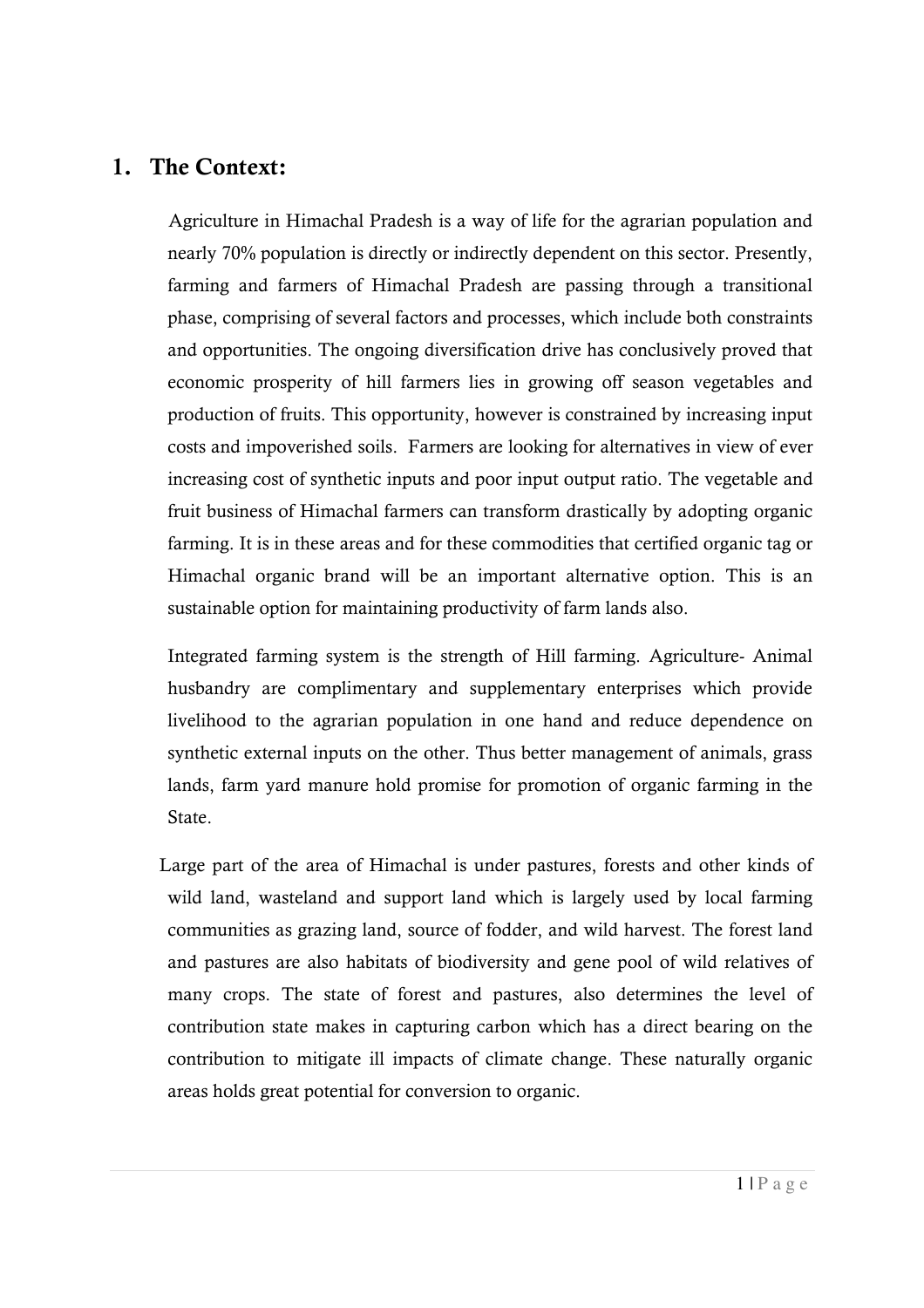## **1. The Context:**

 Agriculture in Himachal Pradesh is a way of life for the agrarian population and nearly 70% population is directly or indirectly dependent on this sector. Presently, farming and farmers of Himachal Pradesh are passing through a transitional phase, comprising of several factors and processes, which include both constraints and opportunities. The ongoing diversification drive has conclusively proved that economic prosperity of hill farmers lies in growing off season vegetables and production of fruits. This opportunity, however is constrained by increasing input costs and impoverished soils. Farmers are looking for alternatives in view of ever increasing cost of synthetic inputs and poor input output ratio. The vegetable and fruit business of Himachal farmers can transform drastically by adopting organic farming. It is in these areas and for these commodities that certified organic tag or Himachal organic brand will be an important alternative option. This is an sustainable option for maintaining productivity of farm lands also.

 Integrated farming system is the strength of Hill farming. Agriculture- Animal husbandry are complimentary and supplementary enterprises which provide livelihood to the agrarian population in one hand and reduce dependence on synthetic external inputs on the other. Thus better management of animals, grass lands, farm yard manure hold promise for promotion of organic farming in the State.

Large part of the area of Himachal is under pastures, forests and other kinds of wild land, wasteland and support land which is largely used by local farming communities as grazing land, source of fodder, and wild harvest. The forest land and pastures are also habitats of biodiversity and gene pool of wild relatives of many crops. The state of forest and pastures, also determines the level of contribution state makes in capturing carbon which has a direct bearing on the contribution to mitigate ill impacts of climate change. These naturally organic areas holds great potential for conversion to organic.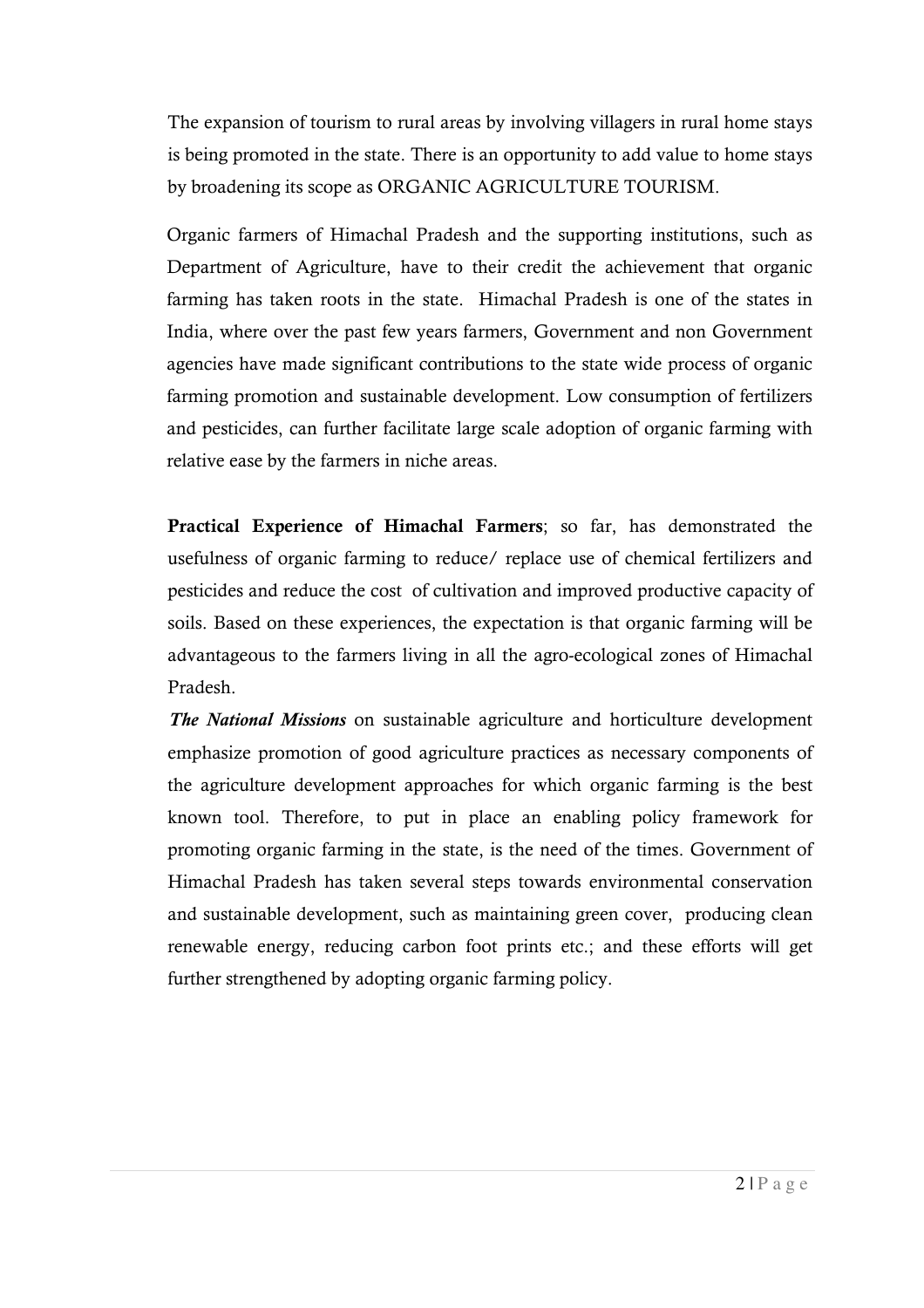The expansion of tourism to rural areas by involving villagers in rural home stays is being promoted in the state. There is an opportunity to add value to home stays by broadening its scope as ORGANIC AGRICULTURE TOURISM.

Organic farmers of Himachal Pradesh and the supporting institutions, such as Department of Agriculture, have to their credit the achievement that organic farming has taken roots in the state.Himachal Pradesh is one of the states in India, where over the past few years farmers, Government and non Government agencies have made significant contributions to the state wide process of organic farming promotion and sustainable development. Low consumption of fertilizers and pesticides, can further facilitate large scale adoption of organic farming with relative ease by the farmers in niche areas.

**Practical Experience of Himachal Farmers**; so far, has demonstrated the usefulness of organic farming to reduce/ replace use of chemical fertilizers and pesticides and reduce the cost of cultivation and improved productive capacity of soils. Based on these experiences, the expectation is that organic farming will be advantageous to the farmers living in all the agro-ecological zones of Himachal Pradesh.

 *The National Missions* on sustainable agriculture and horticulture development emphasize promotion of good agriculture practices as necessary components of the agriculture development approaches for which organic farming is the best known tool. Therefore, to put in place an enabling policy framework for promoting organic farming in the state, is the need of the times. Government of Himachal Pradesh has taken several steps towards environmental conservation and sustainable development, such as maintaining green cover, producing clean renewable energy, reducing carbon foot prints etc.; and these efforts will get further strengthened by adopting organic farming policy.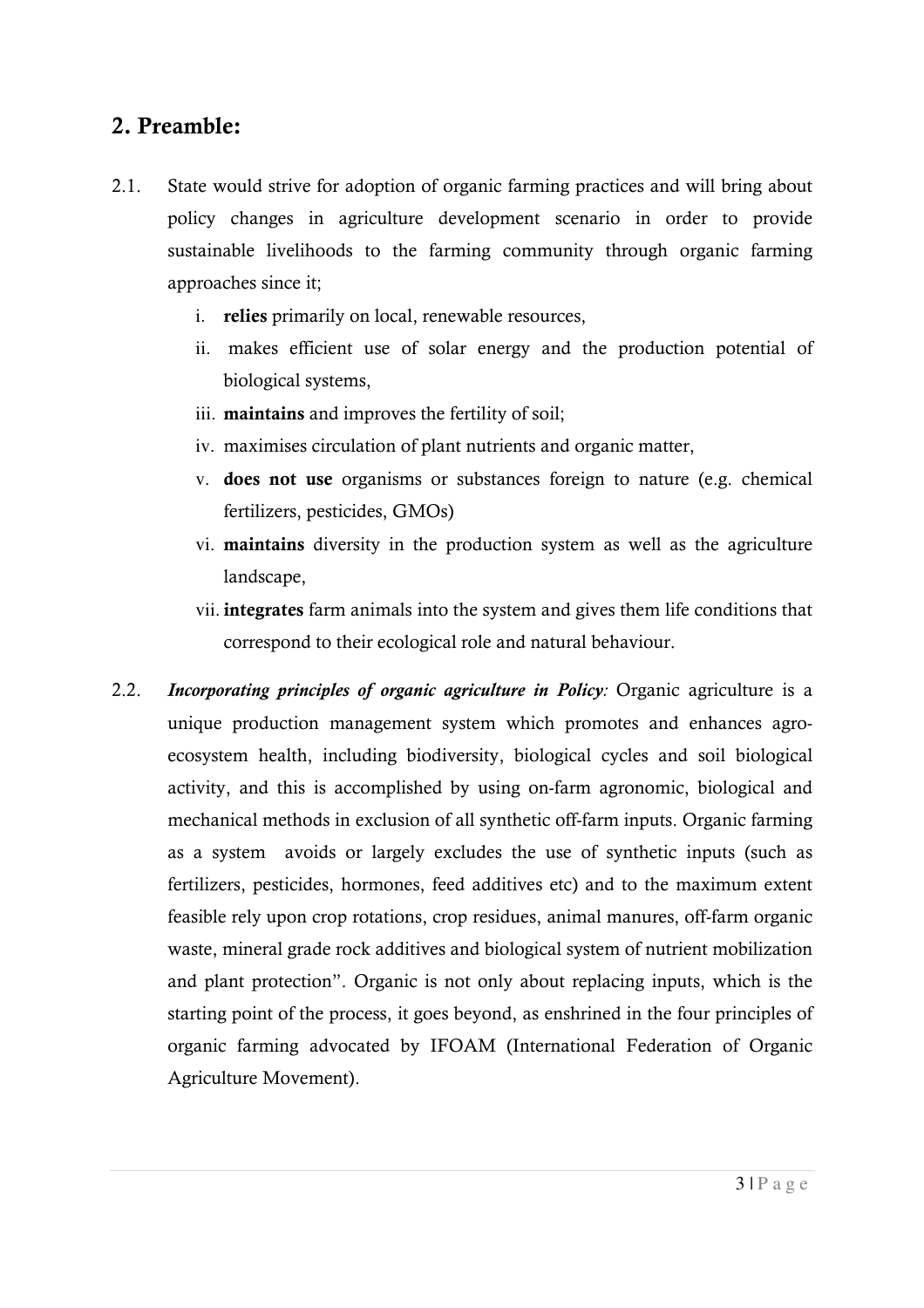## **2. Preamble:**

- 2.1. State would strive for adoption of organic farming practices and will bring about policy changes in agriculture development scenario in order to provide sustainable livelihoods to the farming community through organic farming approaches since it;
	- i. **relies** primarily on local, renewable resources,
	- ii. makes efficient use of solar energy and the production potential of biological systems,
	- iii. **maintains** and improves the fertility of soil;
	- iv. maximises circulation of plant nutrients and organic matter,
	- v. **does not use** organisms or substances foreign to nature (e.g. chemical fertilizers, pesticides, GMOs)
	- vi. **maintains** diversity in the production system as well as the agriculture landscape,
	- vii. **integrates** farm animals into the system and gives them life conditions that correspond to their ecological role and natural behaviour.
- 2.2. *Incorporating principles of organic agriculture in Policy:* Organic agriculture is a unique production management system which promotes and enhances agroecosystem health, including biodiversity, biological cycles and soil biological activity, and this is accomplished by using on-farm agronomic, biological and mechanical methods in exclusion of all synthetic off-farm inputs. Organic farming as a system avoids or largely excludes the use of synthetic inputs (such as fertilizers, pesticides, hormones, feed additives etc) and to the maximum extent feasible rely upon crop rotations, crop residues, animal manures, off-farm organic waste, mineral grade rock additives and biological system of nutrient mobilization and plant protection". Organic is not only about replacing inputs, which is the starting point of the process, it goes beyond, as enshrined in the four principles of organic farming advocated by IFOAM (International Federation of Organic Agriculture Movement).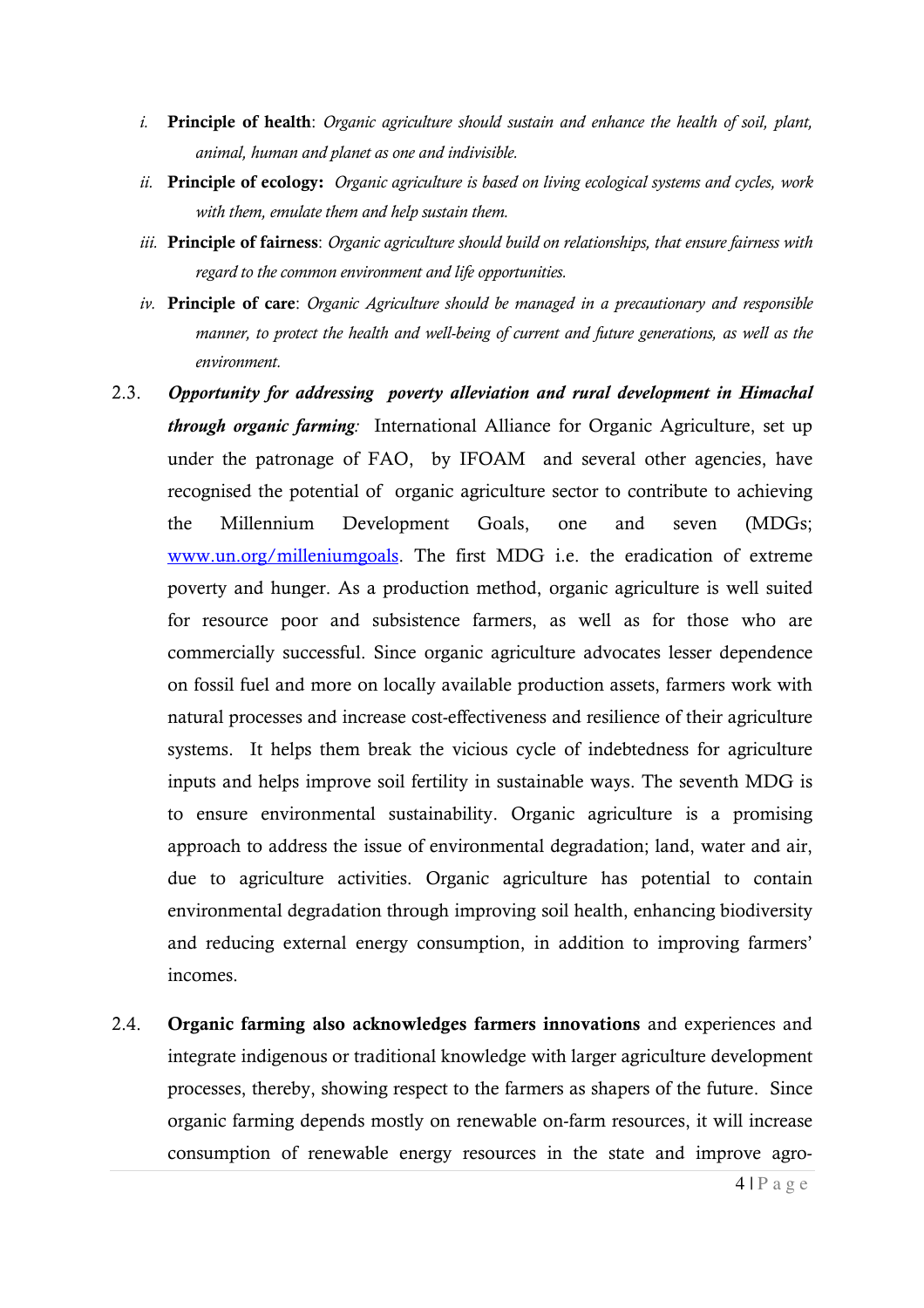- *i.* **Principle of health**: *Organic agriculture should sustain and enhance the health of soil, plant, animal, human and planet as one and indivisible.*
- *ii.* **Principle of ecology:** *Organic agriculture is based on living ecological systems and cycles, work with them, emulate them and help sustain them.*
- *iii.* **Principle of fairness**: *Organic agriculture should build on relationships, that ensure fairness with regard to the common environment and life opportunities.*
- *iv.* **Principle of care**: *Organic Agriculture should be managed in a precautionary and responsible manner, to protect the health and well-being of current and future generations, as well as the environment.*
- 2.3. *Opportunity for addressing poverty alleviation and rural development in Himachal through organic farming:* International Alliance for Organic Agriculture, set up under the patronage of FAO, by IFOAM and several other agencies, have recognised the potential of organic agriculture sector to contribute to achieving the Millennium Development Goals, one and seven (MDGs; www.un.org/milleniumgoals. The first MDG i.e. the eradication of extreme poverty and hunger. As a production method, organic agriculture is well suited for resource poor and subsistence farmers, as well as for those who are commercially successful. Since organic agriculture advocates lesser dependence on fossil fuel and more on locally available production assets, farmers work with natural processes and increase cost-effectiveness and resilience of their agriculture systems. It helps them break the vicious cycle of indebtedness for agriculture inputs and helps improve soil fertility in sustainable ways. The seventh MDG is to ensure environmental sustainability. Organic agriculture is a promising approach to address the issue of environmental degradation; land, water and air, due to agriculture activities. Organic agriculture has potential to contain environmental degradation through improving soil health, enhancing biodiversity and reducing external energy consumption, in addition to improving farmers' incomes.
- 2.4. **Organic farming also acknowledges farmers innovations** and experiences and integrate indigenous or traditional knowledge with larger agriculture development processes, thereby, showing respect to the farmers as shapers of the future. Since organic farming depends mostly on renewable on-farm resources, it will increase consumption of renewable energy resources in the state and improve agro-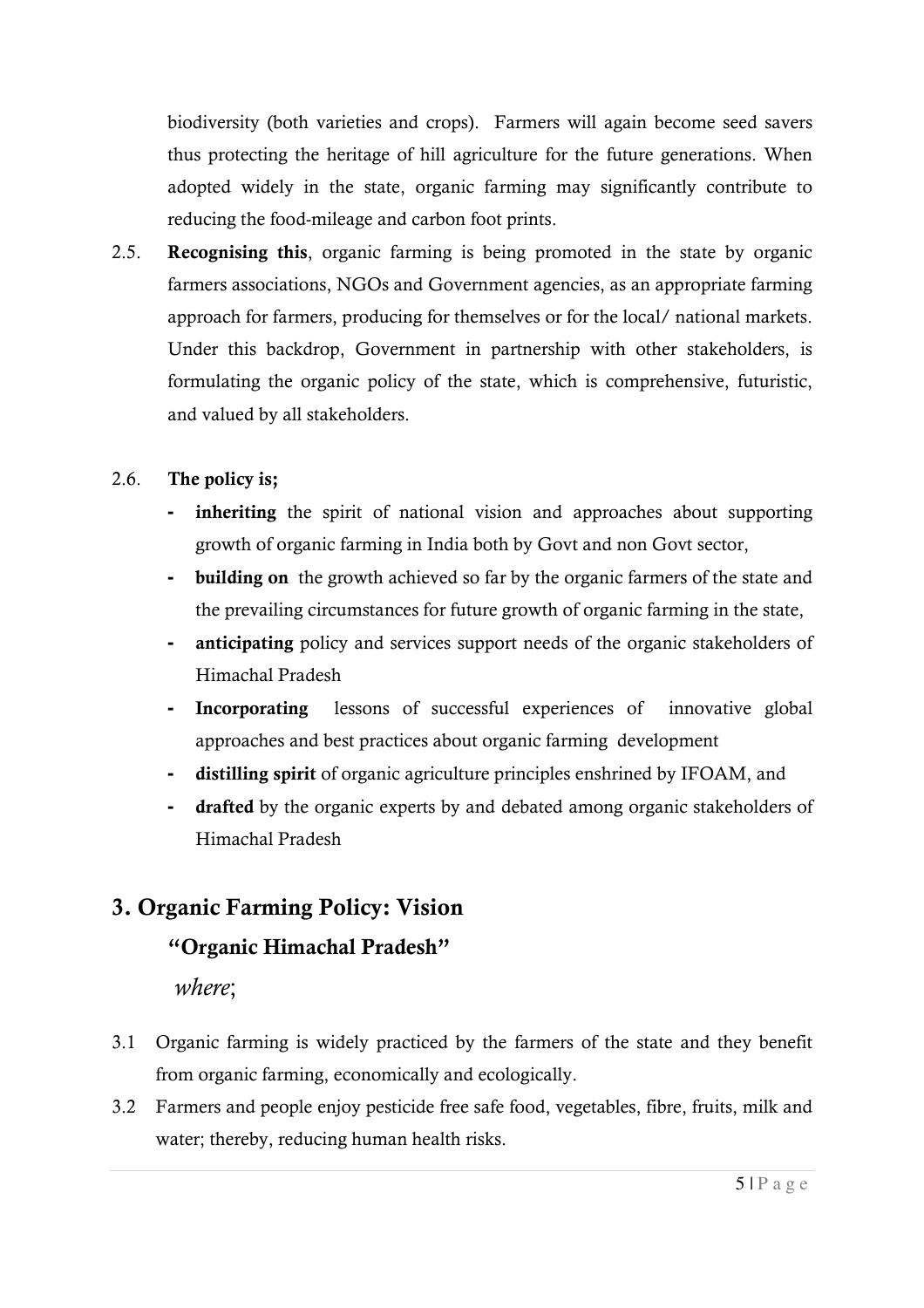biodiversity (both varieties and crops). Farmers will again become seed savers thus protecting the heritage of hill agriculture for the future generations. When adopted widely in the state, organic farming may significantly contribute to reducing the food-mileage and carbon foot prints.

2.5. **Recognising this**, organic farming is being promoted in the state by organic farmers associations, NGOs and Government agencies, as an appropriate farming approach for farmers, producing for themselves or for the local/ national markets. Under this backdrop, Government in partnership with other stakeholders, is formulating the organic policy of the state, which is comprehensive, futuristic, and valued by all stakeholders.

### 2.6. **The policy is;**

- **inheriting** the spirit of national vision and approaches about supporting growth of organic farming in India both by Govt and non Govt sector,
- **building on** the growth achieved so far by the organic farmers of the state and the prevailing circumstances for future growth of organic farming in the state,
- **anticipating** policy and services support needs of the organic stakeholders of Himachal Pradesh
- **Incorporating** lessons of successful experiences of innovative global approaches and best practices about organic farming development
- **distilling spirit** of organic agriculture principles enshrined by IFOAM, and
- **drafted** by the organic experts by and debated among organic stakeholders of Himachal Pradesh

# **3. Organic Farming Policy: Vision**

### **"Organic Himachal Pradesh"**

*where*;

- 3.1 Organic farming is widely practiced by the farmers of the state and they benefit from organic farming, economically and ecologically.
- 3.2 Farmers and people enjoy pesticide free safe food, vegetables, fibre, fruits, milk and water; thereby, reducing human health risks.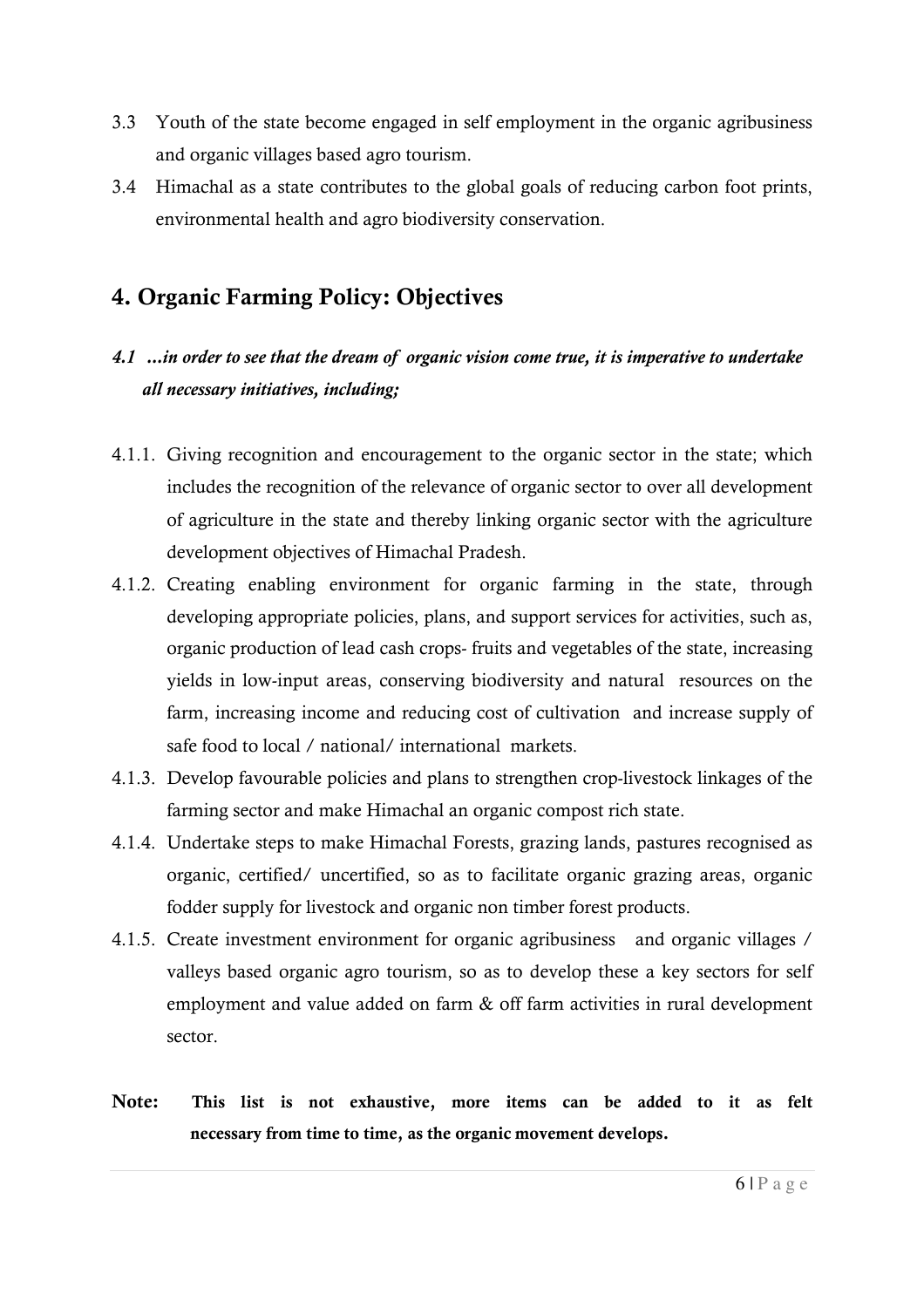- 3.3 Youth of the state become engaged in self employment in the organic agribusiness and organic villages based agro tourism.
- 3.4 Himachal as a state contributes to the global goals of reducing carbon foot prints, environmental health and agro biodiversity conservation.

# **4. Organic Farming Policy: Objectives**

# *4.1 ...in order to see that the dream of organic vision come true, it is imperative to undertake all necessary initiatives, including;*

- 4.1.1. Giving recognition and encouragement to the organic sector in the state; which includes the recognition of the relevance of organic sector to over all development of agriculture in the state and thereby linking organic sector with the agriculture development objectives of Himachal Pradesh.
- 4.1.2. Creating enabling environment for organic farming in the state, through developing appropriate policies, plans, and support services for activities, such as, organic production of lead cash crops- fruits and vegetables of the state, increasing yields in low-input areas, conserving biodiversity and natural resources on the farm, increasing income and reducing cost of cultivation and increase supply of safe food to local / national/ international markets.
- 4.1.3. Develop favourable policies and plans to strengthen crop-livestock linkages of the farming sector and make Himachal an organic compost rich state.
- 4.1.4. Undertake steps to make Himachal Forests, grazing lands, pastures recognised as organic, certified/ uncertified, so as to facilitate organic grazing areas, organic fodder supply for livestock and organic non timber forest products.
- 4.1.5. Create investment environment for organic agribusiness and organic villages / valleys based organic agro tourism, so as to develop these a key sectors for self employment and value added on farm & off farm activities in rural development sector.
- **Note: This list is not exhaustive, more items can be added to it as felt necessary from time to time, as the organic movement develops.**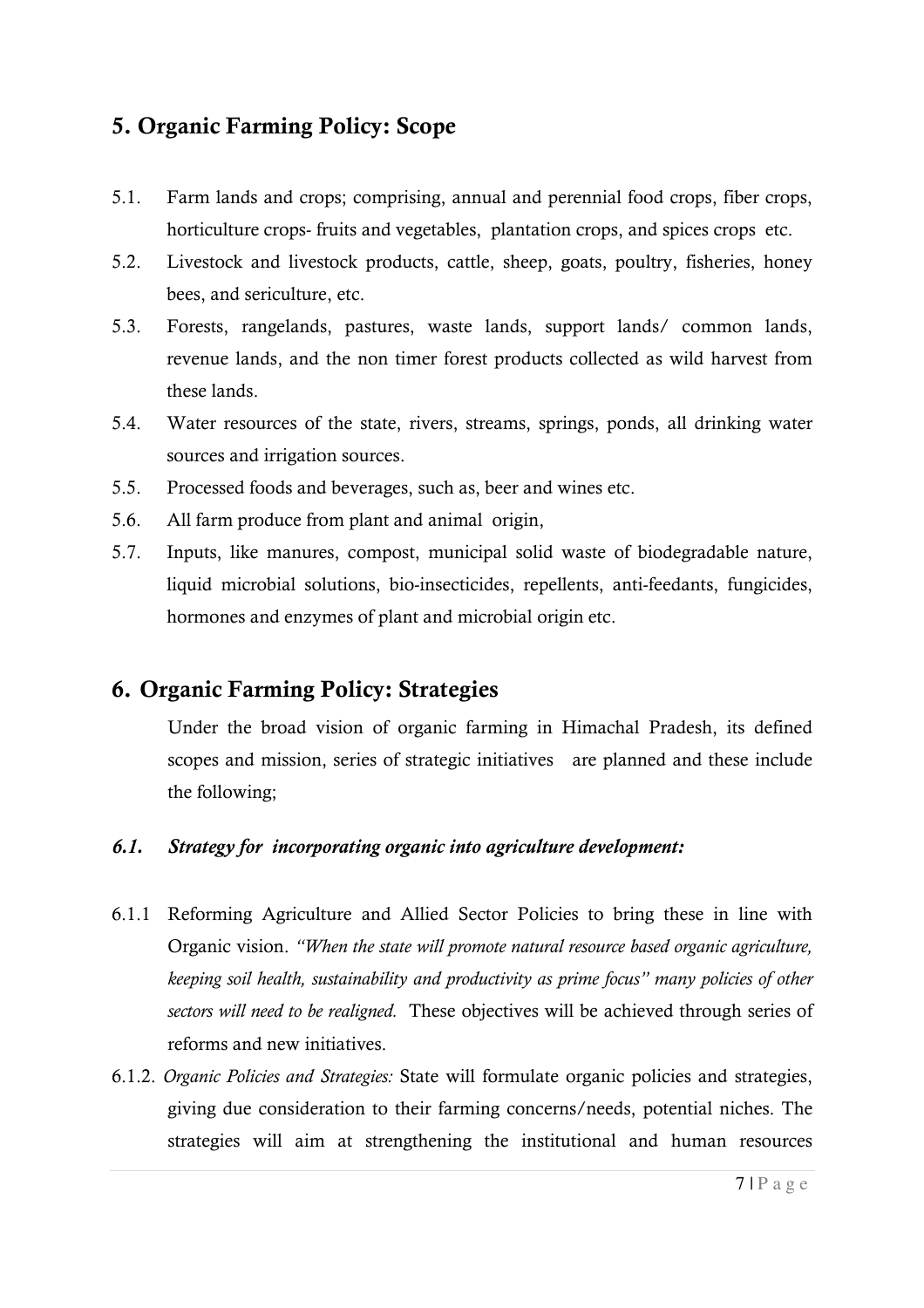## **5. Organic Farming Policy: Scope**

- 5.1. Farm lands and crops; comprising, annual and perennial food crops, fiber crops, horticulture crops- fruits and vegetables, plantation crops, and spices crops etc.
- 5.2. Livestock and livestock products, cattle, sheep, goats, poultry, fisheries, honey bees, and sericulture, etc.
- 5.3. Forests, rangelands, pastures, waste lands, support lands/ common lands, revenue lands, and the non timer forest products collected as wild harvest from these lands.
- 5.4. Water resources of the state, rivers, streams, springs, ponds, all drinking water sources and irrigation sources.
- 5.5. Processed foods and beverages, such as, beer and wines etc.
- 5.6. All farm produce from plant and animal origin,
- 5.7. Inputs, like manures, compost, municipal solid waste of biodegradable nature, liquid microbial solutions, bio-insecticides, repellents, anti-feedants, fungicides, hormones and enzymes of plant and microbial origin etc.

## **6. Organic Farming Policy: Strategies**

Under the broad vision of organic farming in Himachal Pradesh, its defined scopes and mission, series of strategic initiatives are planned and these include the following;

#### *6.1. Strategy for incorporating organic into agriculture development:*

- 6.1.1 Reforming Agriculture and Allied Sector Policies to bring these in line with Organic vision. *"When the state will promote natural resource based organic agriculture, keeping soil health, sustainability and productivity as prime focus" many policies of other sectors will need to be realigned.* These objectives will be achieved through series of reforms and new initiatives.
- 6.1.2. *Organic Policies and Strategies:* State will formulate organic policies and strategies, giving due consideration to their farming concerns/needs, potential niches. The strategies will aim at strengthening the institutional and human resources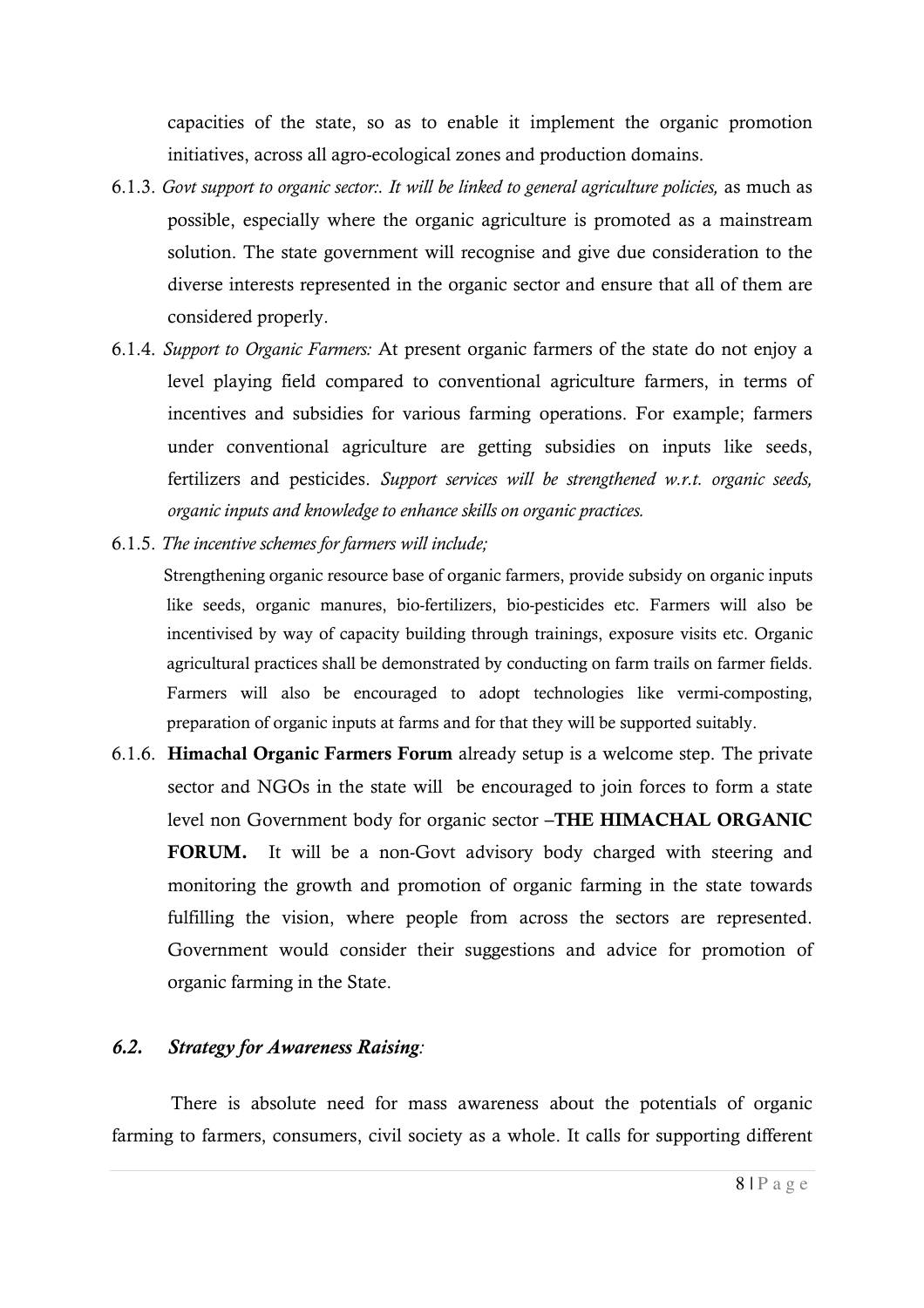capacities of the state, so as to enable it implement the organic promotion initiatives, across all agro-ecological zones and production domains.

- 6.1.3. *Govt support to organic sector:. It will be linked to general agriculture policies,* as much as possible, especially where the organic agriculture is promoted as a mainstream solution. The state government will recognise and give due consideration to the diverse interests represented in the organic sector and ensure that all of them are considered properly.
- 6.1.4. *Support to Organic Farmers:* At present organic farmers of the state do not enjoy a level playing field compared to conventional agriculture farmers, in terms of incentives and subsidies for various farming operations. For example; farmers under conventional agriculture are getting subsidies on inputs like seeds, fertilizers and pesticides. *Support services will be strengthened w.r.t. organic seeds, organic inputs and knowledge to enhance skills on organic practices.*
- 6.1.5. *The incentive schemes for farmers will include;*

 Strengthening organic resource base of organic farmers, provide subsidy on organic inputs like seeds, organic manures, bio-fertilizers, bio-pesticides etc. Farmers will also be incentivised by way of capacity building through trainings, exposure visits etc. Organic agricultural practices shall be demonstrated by conducting on farm trails on farmer fields. Farmers will also be encouraged to adopt technologies like vermi-composting, preparation of organic inputs at farms and for that they will be supported suitably.

6.1.6. **Himachal Organic Farmers Forum** already setup is a welcome step. The private sector and NGOs in the state will be encouraged to join forces to form a state level non Government body for organic sector **–THE HIMACHAL ORGANIC FORUM.** It will be a non-Govt advisory body charged with steering and monitoring the growth and promotion of organic farming in the state towards fulfilling the vision, where people from across the sectors are represented. Government would consider their suggestions and advice for promotion of organic farming in the State.

#### *6.2. Strategy for Awareness Raising:*

There is absolute need for mass awareness about the potentials of organic farming to farmers, consumers, civil society as a whole. It calls for supporting different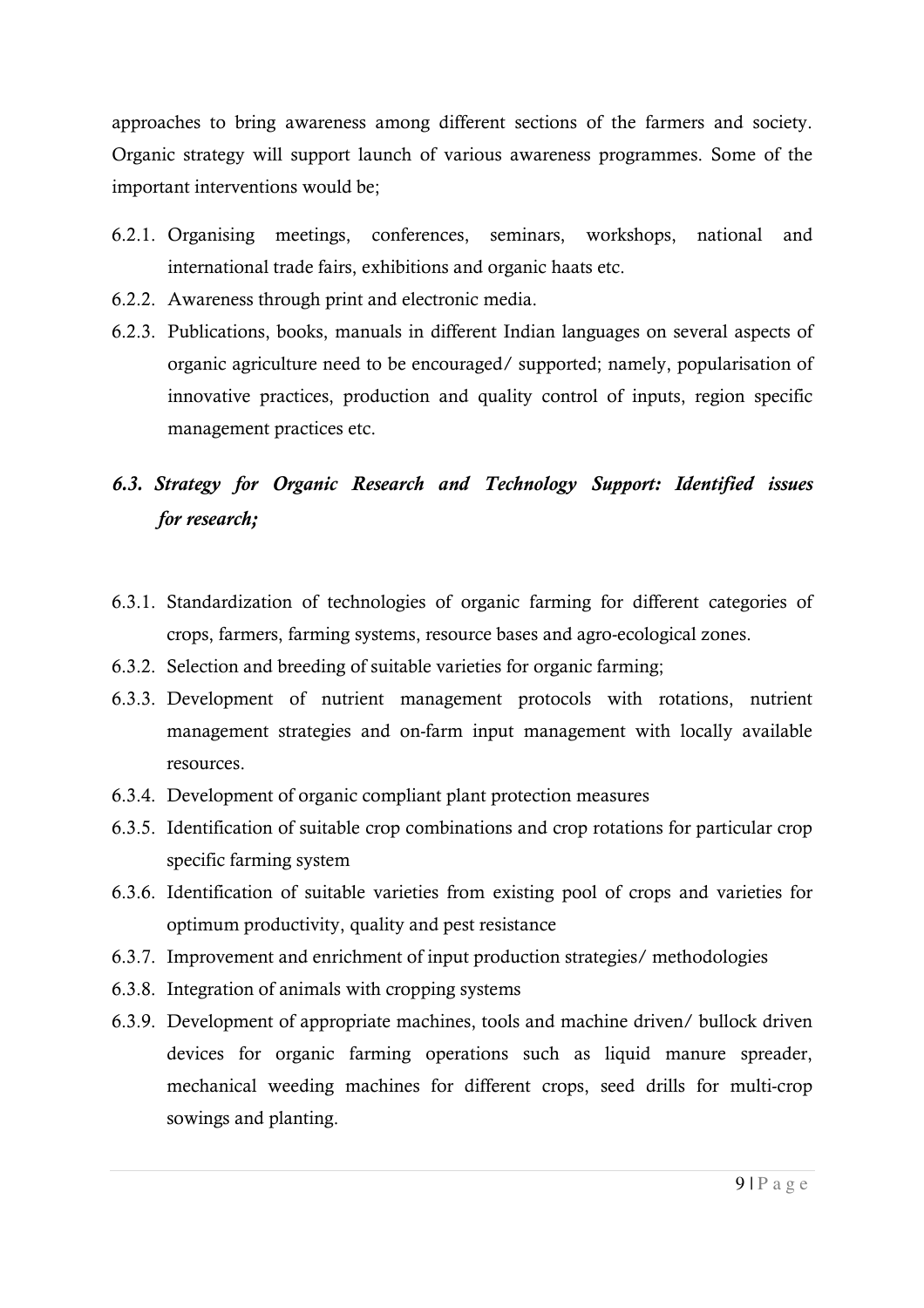approaches to bring awareness among different sections of the farmers and society. Organic strategy will support launch of various awareness programmes. Some of the important interventions would be;

- 6.2.1. Organising meetings, conferences, seminars, workshops, national and international trade fairs, exhibitions and organic haats etc.
- 6.2.2. Awareness through print and electronic media.
- 6.2.3. Publications, books, manuals in different Indian languages on several aspects of organic agriculture need to be encouraged/ supported; namely, popularisation of innovative practices, production and quality control of inputs, region specific management practices etc.

# *6.3. Strategy for Organic Research and Technology Support: Identified issues for research;*

- 6.3.1. Standardization of technologies of organic farming for different categories of crops, farmers, farming systems, resource bases and agro-ecological zones.
- 6.3.2. Selection and breeding of suitable varieties for organic farming;
- 6.3.3. Development of nutrient management protocols with rotations, nutrient management strategies and on-farm input management with locally available resources.
- 6.3.4. Development of organic compliant plant protection measures
- 6.3.5. Identification of suitable crop combinations and crop rotations for particular crop specific farming system
- 6.3.6. Identification of suitable varieties from existing pool of crops and varieties for optimum productivity, quality and pest resistance
- 6.3.7. Improvement and enrichment of input production strategies/ methodologies
- 6.3.8. Integration of animals with cropping systems
- 6.3.9. Development of appropriate machines, tools and machine driven/ bullock driven devices for organic farming operations such as liquid manure spreader, mechanical weeding machines for different crops, seed drills for multi-crop sowings and planting.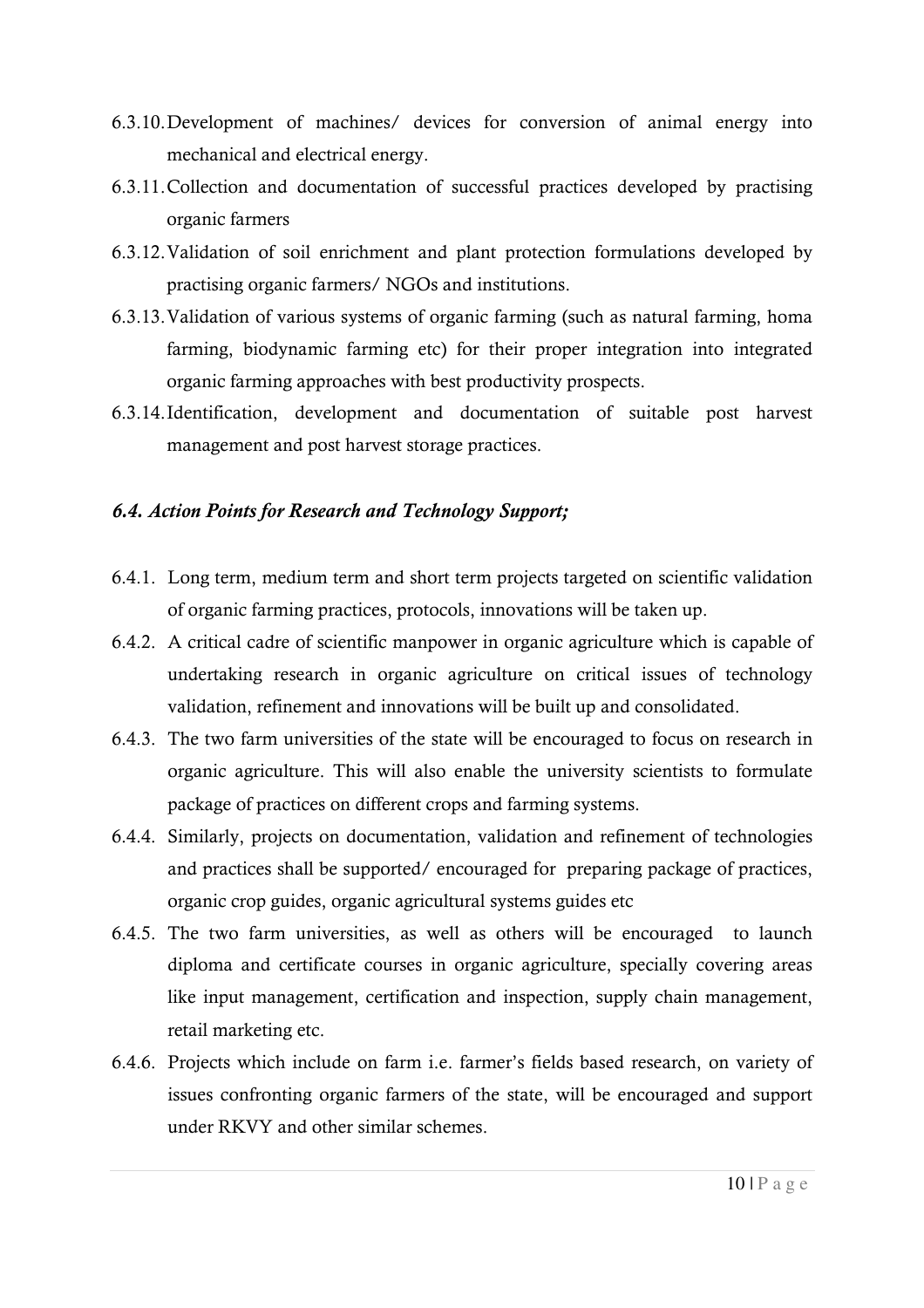- 6.3.10.Development of machines/ devices for conversion of animal energy into mechanical and electrical energy.
- 6.3.11.Collection and documentation of successful practices developed by practising organic farmers
- 6.3.12.Validation of soil enrichment and plant protection formulations developed by practising organic farmers/ NGOs and institutions.
- 6.3.13.Validation of various systems of organic farming (such as natural farming, homa farming, biodynamic farming etc) for their proper integration into integrated organic farming approaches with best productivity prospects.
- 6.3.14.Identification, development and documentation of suitable post harvest management and post harvest storage practices.

#### *6.4. Action Points for Research and Technology Support;*

- 6.4.1. Long term, medium term and short term projects targeted on scientific validation of organic farming practices, protocols, innovations will be taken up.
- 6.4.2. A critical cadre of scientific manpower in organic agriculture which is capable of undertaking research in organic agriculture on critical issues of technology validation, refinement and innovations will be built up and consolidated.
- 6.4.3. The two farm universities of the state will be encouraged to focus on research in organic agriculture. This will also enable the university scientists to formulate package of practices on different crops and farming systems.
- 6.4.4. Similarly, projects on documentation, validation and refinement of technologies and practices shall be supported/ encouraged for preparing package of practices, organic crop guides, organic agricultural systems guides etc
- 6.4.5. The two farm universities, as well as others will be encouraged to launch diploma and certificate courses in organic agriculture, specially covering areas like input management, certification and inspection, supply chain management, retail marketing etc.
- 6.4.6. Projects which include on farm i.e. farmer's fields based research, on variety of issues confronting organic farmers of the state, will be encouraged and support under RKVY and other similar schemes.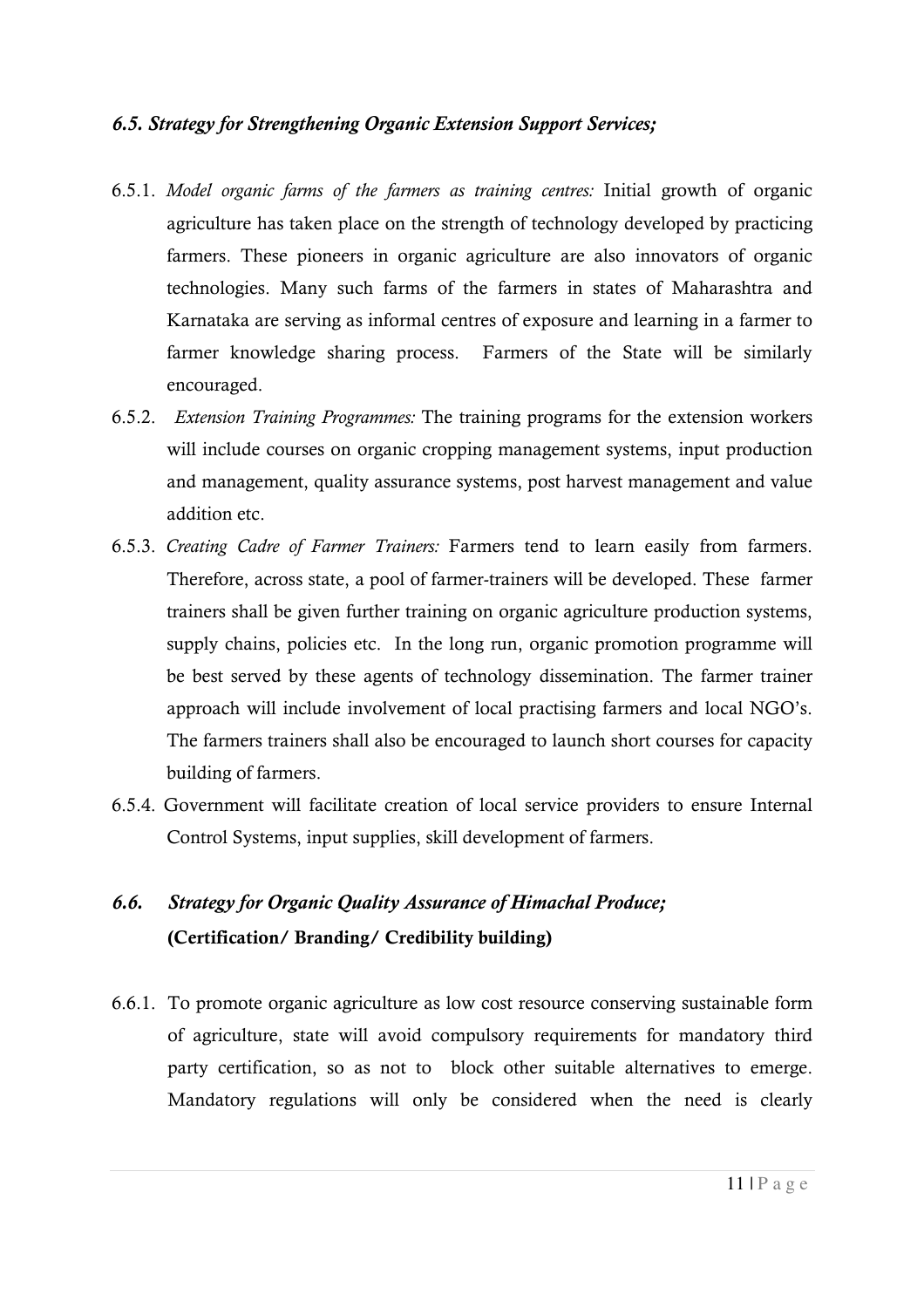#### *6.5. Strategy for Strengthening Organic Extension Support Services;*

- 6.5.1. *Model organic farms of the farmers as training centres:* Initial growth of organic agriculture has taken place on the strength of technology developed by practicing farmers. These pioneers in organic agriculture are also innovators of organic technologies. Many such farms of the farmers in states of Maharashtra and Karnataka are serving as informal centres of exposure and learning in a farmer to farmer knowledge sharing process. Farmers of the State will be similarly encouraged.
- 6.5.2. *Extension Training Programmes:* The training programs for the extension workers will include courses on organic cropping management systems, input production and management, quality assurance systems, post harvest management and value addition etc.
- 6.5.3. *Creating Cadre of Farmer Trainers:* Farmers tend to learn easily from farmers. Therefore, across state, a pool of farmer-trainers will be developed. These farmer trainers shall be given further training on organic agriculture production systems, supply chains, policies etc. In the long run, organic promotion programme will be best served by these agents of technology dissemination. The farmer trainer approach will include involvement of local practising farmers and local NGO's. The farmers trainers shall also be encouraged to launch short courses for capacity building of farmers.
- 6.5.4. Government will facilitate creation of local service providers to ensure Internal Control Systems, input supplies, skill development of farmers.

# *6.6. Strategy for Organic Quality Assurance of Himachal Produce;*  **(Certification/ Branding/ Credibility building)**

6.6.1. To promote organic agriculture as low cost resource conserving sustainable form of agriculture, state will avoid compulsory requirements for mandatory third party certification, so as not to block other suitable alternatives to emerge. Mandatory regulations will only be considered when the need is clearly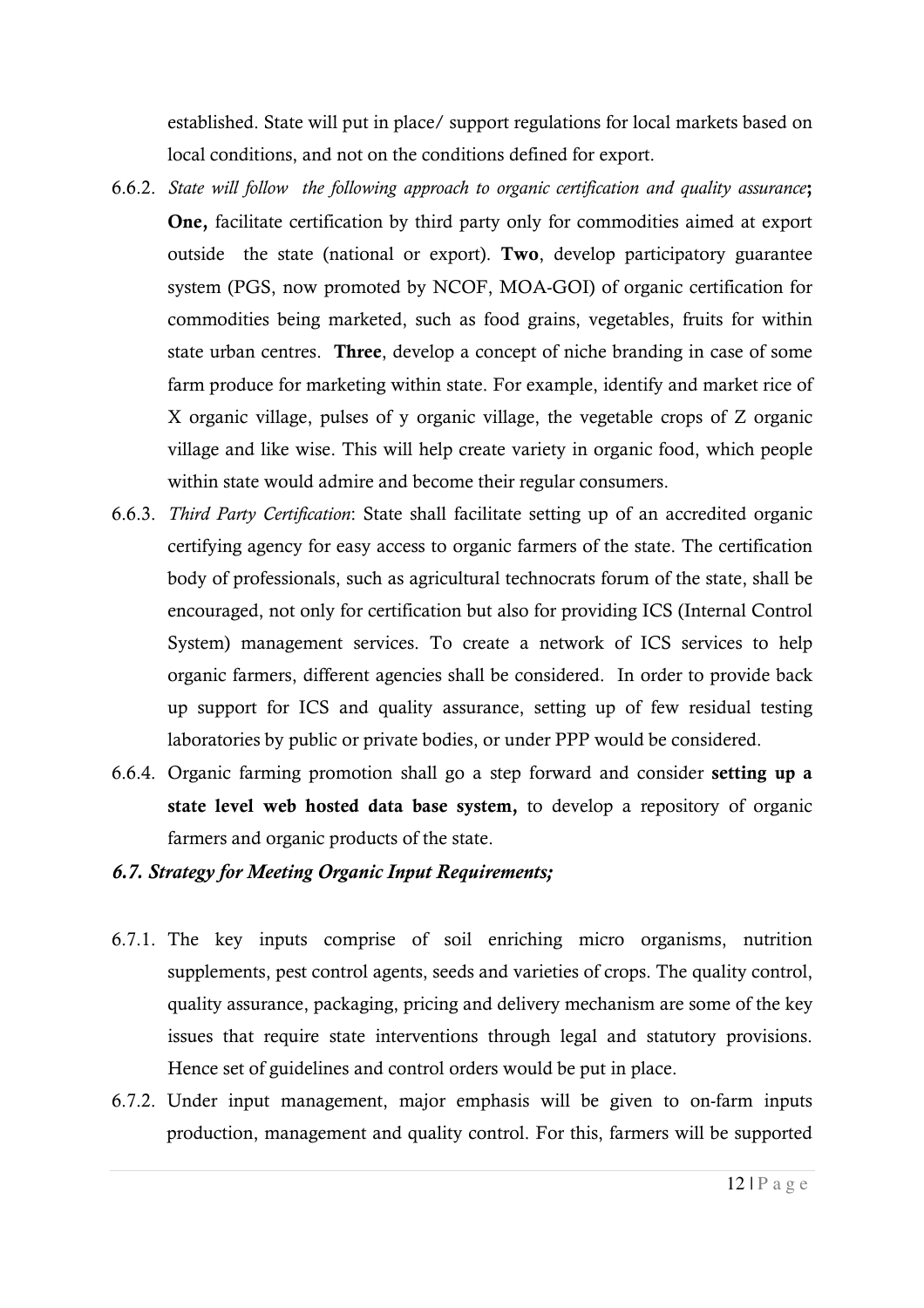established. State will put in place/ support regulations for local markets based on local conditions, and not on the conditions defined for export.

- 6.6.2. *State will follow the following approach to organic certification and quality assurance***; One,** facilitate certification by third party only for commodities aimed at export outside the state (national or export). **Two**, develop participatory guarantee system (PGS, now promoted by NCOF, MOA-GOI) of organic certification for commodities being marketed, such as food grains, vegetables, fruits for within state urban centres. **Three**, develop a concept of niche branding in case of some farm produce for marketing within state. For example, identify and market rice of X organic village, pulses of y organic village, the vegetable crops of Z organic village and like wise. This will help create variety in organic food, which people within state would admire and become their regular consumers.
- 6.6.3. *Third Party Certification*: State shall facilitate setting up of an accredited organic certifying agency for easy access to organic farmers of the state. The certification body of professionals, such as agricultural technocrats forum of the state, shall be encouraged, not only for certification but also for providing ICS (Internal Control System) management services. To create a network of ICS services to help organic farmers, different agencies shall be considered. In order to provide back up support for ICS and quality assurance, setting up of few residual testing laboratories by public or private bodies, or under PPP would be considered.
- 6.6.4. Organic farming promotion shall go a step forward and consider **setting up a state level web hosted data base system,** to develop a repository of organic farmers and organic products of the state.

#### *6.7. Strategy for Meeting Organic Input Requirements;*

- 6.7.1. The key inputs comprise of soil enriching micro organisms, nutrition supplements, pest control agents, seeds and varieties of crops. The quality control, quality assurance, packaging, pricing and delivery mechanism are some of the key issues that require state interventions through legal and statutory provisions. Hence set of guidelines and control orders would be put in place.
- 6.7.2. Under input management, major emphasis will be given to on-farm inputs production, management and quality control. For this, farmers will be supported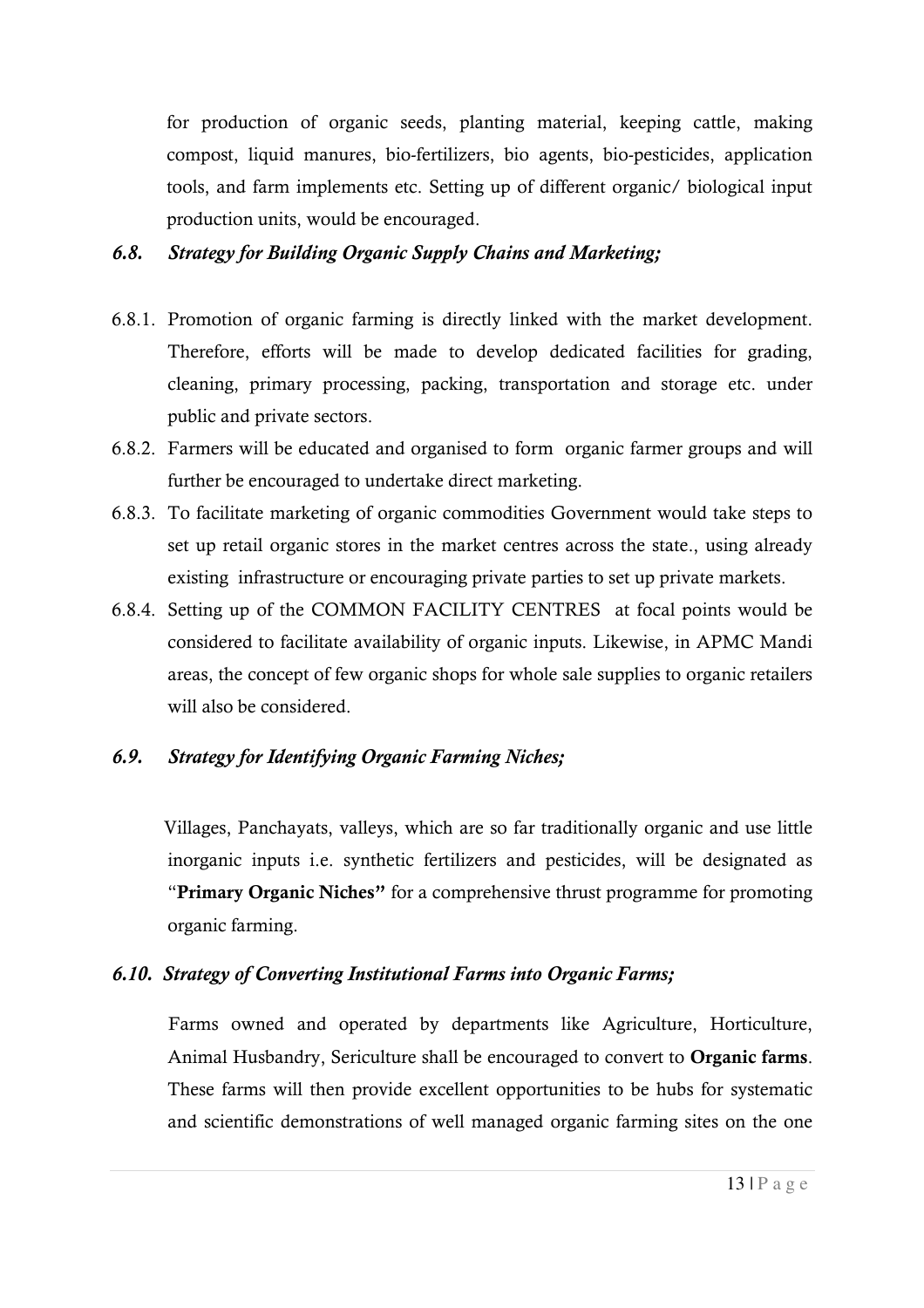for production of organic seeds, planting material, keeping cattle, making compost, liquid manures, bio-fertilizers, bio agents, bio-pesticides, application tools, and farm implements etc. Setting up of different organic/ biological input production units, would be encouraged.

### *6.8. Strategy for Building Organic Supply Chains and Marketing;*

- 6.8.1. Promotion of organic farming is directly linked with the market development. Therefore, efforts will be made to develop dedicated facilities for grading, cleaning, primary processing, packing, transportation and storage etc. under public and private sectors.
- 6.8.2. Farmers will be educated and organised to form organic farmer groups and will further be encouraged to undertake direct marketing.
- 6.8.3. To facilitate marketing of organic commodities Government would take steps to set up retail organic stores in the market centres across the state., using already existing infrastructure or encouraging private parties to set up private markets.
- 6.8.4. Setting up of the COMMON FACILITY CENTRES at focal points would be considered to facilitate availability of organic inputs. Likewise, in APMC Mandi areas, the concept of few organic shops for whole sale supplies to organic retailers will also be considered.

### *6.9. Strategy for Identifying Organic Farming Niches;*

Villages, Panchayats, valleys, which are so far traditionally organic and use little inorganic inputs i.e. synthetic fertilizers and pesticides, will be designated as "**Primary Organic Niches"** for a comprehensive thrust programme for promoting organic farming.

### *6.10. Strategy of Converting Institutional Farms into Organic Farms;*

Farms owned and operated by departments like Agriculture, Horticulture, Animal Husbandry, Sericulture shall be encouraged to convert to **Organic farms**. These farms will then provide excellent opportunities to be hubs for systematic and scientific demonstrations of well managed organic farming sites on the one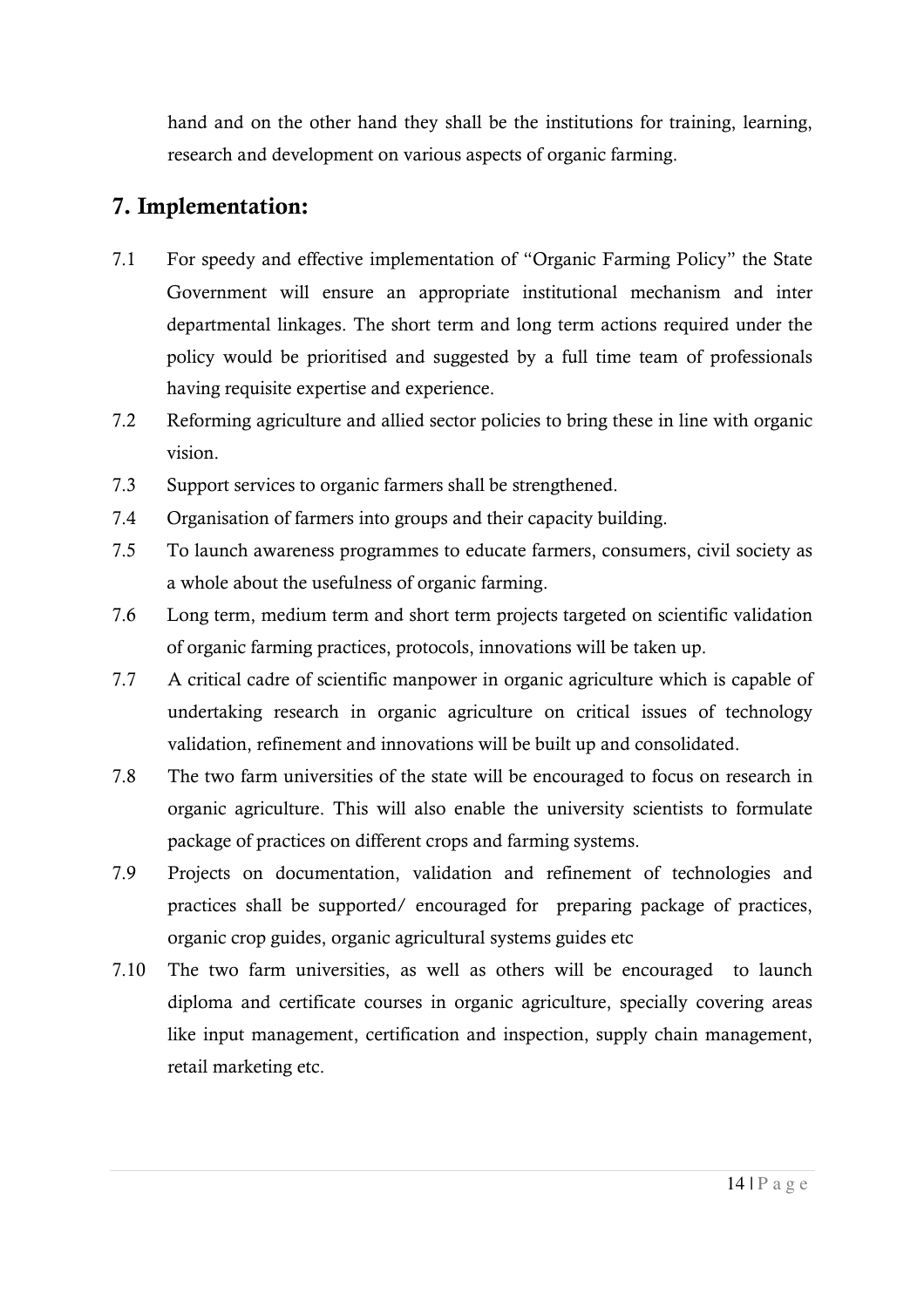hand and on the other hand they shall be the institutions for training, learning, research and development on various aspects of organic farming.

## **7. Implementation:**

- 7.1 For speedy and effective implementation of "Organic Farming Policy" the State Government will ensure an appropriate institutional mechanism and inter departmental linkages. The short term and long term actions required under the policy would be prioritised and suggested by a full time team of professionals having requisite expertise and experience.
- 7.2 Reforming agriculture and allied sector policies to bring these in line with organic vision.
- 7.3 Support services to organic farmers shall be strengthened.
- 7.4 Organisation of farmers into groups and their capacity building.
- 7.5 To launch awareness programmes to educate farmers, consumers, civil society as a whole about the usefulness of organic farming.
- 7.6 Long term, medium term and short term projects targeted on scientific validation of organic farming practices, protocols, innovations will be taken up.
- 7.7 A critical cadre of scientific manpower in organic agriculture which is capable of undertaking research in organic agriculture on critical issues of technology validation, refinement and innovations will be built up and consolidated.
- 7.8 The two farm universities of the state will be encouraged to focus on research in organic agriculture. This will also enable the university scientists to formulate package of practices on different crops and farming systems.
- 7.9 Projects on documentation, validation and refinement of technologies and practices shall be supported/ encouraged for preparing package of practices, organic crop guides, organic agricultural systems guides etc
- 7.10 The two farm universities, as well as others will be encouraged to launch diploma and certificate courses in organic agriculture, specially covering areas like input management, certification and inspection, supply chain management, retail marketing etc.